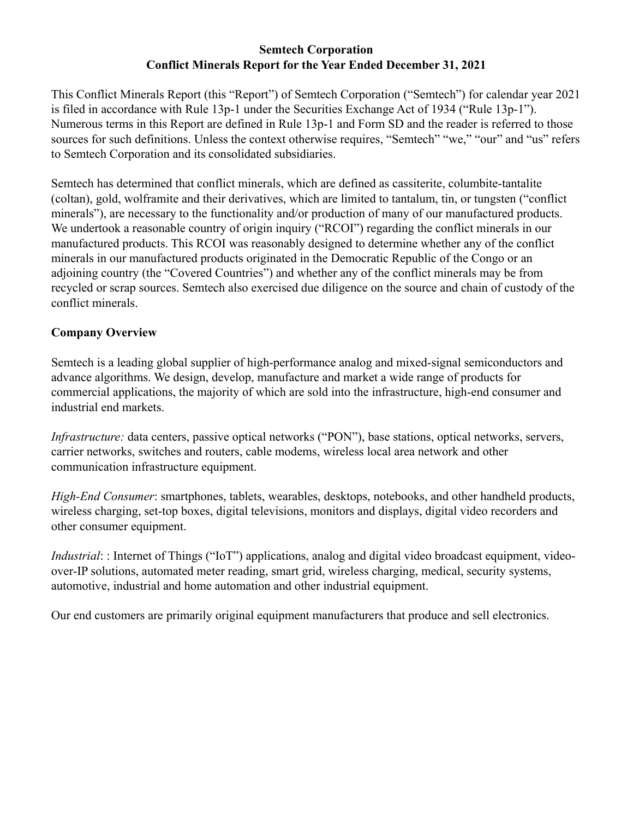### **Semtech Corporation Conflict Minerals Report for the Year Ended December 31, 2021**

This Conflict Minerals Report (this "Report") of Semtech Corporation ("Semtech") for calendar year 2021 is filed in accordance with Rule 13p-1 under the Securities Exchange Act of 1934 ("Rule 13p-1"). Numerous terms in this Report are defined in Rule 13p-1 and Form SD and the reader is referred to those sources for such definitions. Unless the context otherwise requires, "Semtech" "we," "our" and "us" refers to Semtech Corporation and its consolidated subsidiaries.

Semtech has determined that conflict minerals, which are defined as cassiterite, columbite-tantalite (coltan), gold, wolframite and their derivatives, which are limited to tantalum, tin, or tungsten ("conflict minerals"), are necessary to the functionality and/or production of many of our manufactured products. We undertook a reasonable country of origin inquiry ("RCOI") regarding the conflict minerals in our manufactured products. This RCOI was reasonably designed to determine whether any of the conflict minerals in our manufactured products originated in the Democratic Republic of the Congo or an adjoining country (the "Covered Countries") and whether any of the conflict minerals may be from recycled or scrap sources. Semtech also exercised due diligence on the source and chain of custody of the conflict minerals.

# **Company Overview**

Semtech is a leading global supplier of high-performance analog and mixed-signal semiconductors and advance algorithms. We design, develop, manufacture and market a wide range of products for commercial applications, the majority of which are sold into the infrastructure, high-end consumer and industrial end markets.

*Infrastructure:* data centers, passive optical networks ("PON"), base stations, optical networks, servers, carrier networks, switches and routers, cable modems, wireless local area network and other communication infrastructure equipment.

*High-End Consumer*: smartphones, tablets, wearables, desktops, notebooks, and other handheld products, wireless charging, set-top boxes, digital televisions, monitors and displays, digital video recorders and other consumer equipment.

*Industrial*: : Internet of Things ("IoT") applications, analog and digital video broadcast equipment, videoover-IP solutions, automated meter reading, smart grid, wireless charging, medical, security systems, automotive, industrial and home automation and other industrial equipment.

Our end customers are primarily original equipment manufacturers that produce and sell electronics.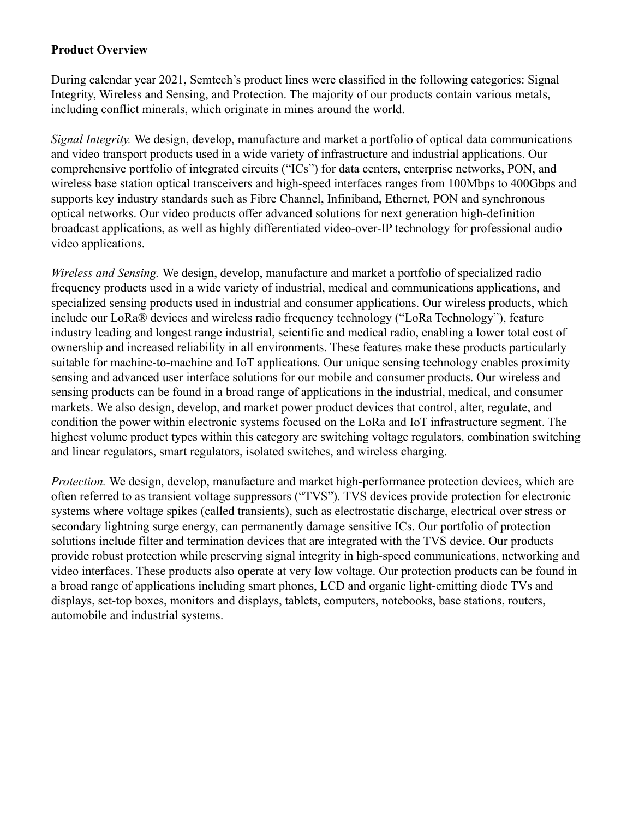#### **Product Overview**

During calendar year 2021, Semtech's product lines were classified in the following categories: Signal Integrity, Wireless and Sensing, and Protection. The majority of our products contain various metals, including conflict minerals, which originate in mines around the world.

*Signal Integrity.* We design, develop, manufacture and market a portfolio of optical data communications and video transport products used in a wide variety of infrastructure and industrial applications. Our comprehensive portfolio of integrated circuits ("ICs") for data centers, enterprise networks, PON, and wireless base station optical transceivers and high-speed interfaces ranges from 100Mbps to 400Gbps and supports key industry standards such as Fibre Channel, Infiniband, Ethernet, PON and synchronous optical networks. Our video products offer advanced solutions for next generation high-definition broadcast applications, as well as highly differentiated video-over-IP technology for professional audio video applications.

*Wireless and Sensing.* We design, develop, manufacture and market a portfolio of specialized radio frequency products used in a wide variety of industrial, medical and communications applications, and specialized sensing products used in industrial and consumer applications. Our wireless products, which include our LoRa® devices and wireless radio frequency technology ("LoRa Technology"), feature industry leading and longest range industrial, scientific and medical radio, enabling a lower total cost of ownership and increased reliability in all environments. These features make these products particularly suitable for machine-to-machine and IoT applications. Our unique sensing technology enables proximity sensing and advanced user interface solutions for our mobile and consumer products. Our wireless and sensing products can be found in a broad range of applications in the industrial, medical, and consumer markets. We also design, develop, and market power product devices that control, alter, regulate, and condition the power within electronic systems focused on the LoRa and IoT infrastructure segment. The highest volume product types within this category are switching voltage regulators, combination switching and linear regulators, smart regulators, isolated switches, and wireless charging.

*Protection.* We design, develop, manufacture and market high-performance protection devices, which are often referred to as transient voltage suppressors ("TVS"). TVS devices provide protection for electronic systems where voltage spikes (called transients), such as electrostatic discharge, electrical over stress or secondary lightning surge energy, can permanently damage sensitive ICs. Our portfolio of protection solutions include filter and termination devices that are integrated with the TVS device. Our products provide robust protection while preserving signal integrity in high-speed communications, networking and video interfaces. These products also operate at very low voltage. Our protection products can be found in a broad range of applications including smart phones, LCD and organic light-emitting diode TVs and displays, set-top boxes, monitors and displays, tablets, computers, notebooks, base stations, routers, automobile and industrial systems.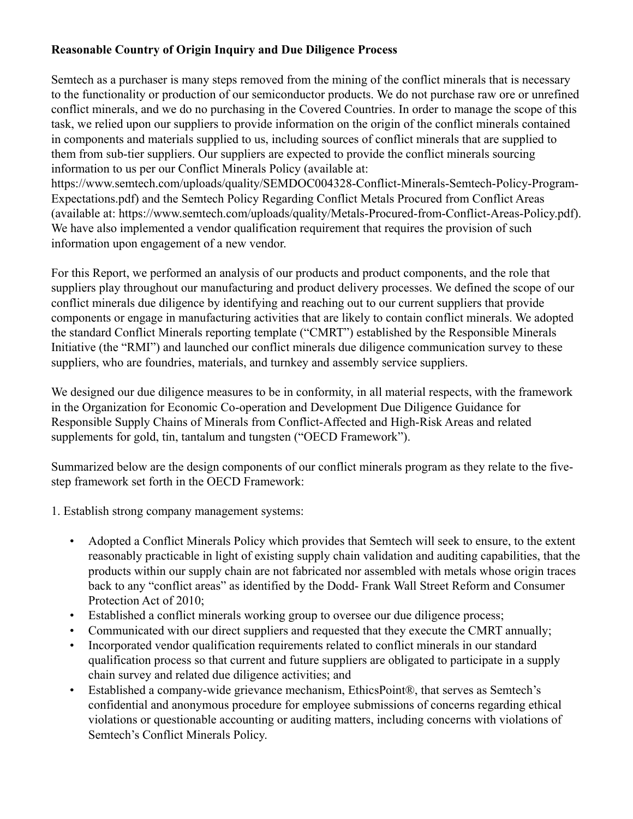# **Reasonable Country of Origin Inquiry and Due Diligence Process**

Semtech as a purchaser is many steps removed from the mining of the conflict minerals that is necessary to the functionality or production of our semiconductor products. We do not purchase raw ore or unrefined conflict minerals, and we do no purchasing in the Covered Countries. In order to manage the scope of this task, we relied upon our suppliers to provide information on the origin of the conflict minerals contained in components and materials supplied to us, including sources of conflict minerals that are supplied to them from sub-tier suppliers. Our suppliers are expected to provide the conflict minerals sourcing information to us per our Conflict Minerals Policy (available at:

https://www.semtech.com/uploads/quality/SEMDOC004328-Conflict-Minerals-Semtech-Policy-Program-Expectations.pdf) and the Semtech Policy Regarding Conflict Metals Procured from Conflict Areas (available at: https://www.semtech.com/uploads/quality/Metals-Procured-from-Conflict-Areas-Policy.pdf). We have also implemented a vendor qualification requirement that requires the provision of such information upon engagement of a new vendor.

For this Report, we performed an analysis of our products and product components, and the role that suppliers play throughout our manufacturing and product delivery processes. We defined the scope of our conflict minerals due diligence by identifying and reaching out to our current suppliers that provide components or engage in manufacturing activities that are likely to contain conflict minerals. We adopted the standard Conflict Minerals reporting template ("CMRT") established by the Responsible Minerals Initiative (the "RMI") and launched our conflict minerals due diligence communication survey to these suppliers, who are foundries, materials, and turnkey and assembly service suppliers.

We designed our due diligence measures to be in conformity, in all material respects, with the framework in the Organization for Economic Co-operation and Development Due Diligence Guidance for Responsible Supply Chains of Minerals from Conflict-Affected and High-Risk Areas and related supplements for gold, tin, tantalum and tungsten ("OECD Framework").

Summarized below are the design components of our conflict minerals program as they relate to the fivestep framework set forth in the OECD Framework:

1. Establish strong company management systems:

- Adopted a Conflict Minerals Policy which provides that Semtech will seek to ensure, to the extent reasonably practicable in light of existing supply chain validation and auditing capabilities, that the products within our supply chain are not fabricated nor assembled with metals whose origin traces back to any "conflict areas" as identified by the Dodd- Frank Wall Street Reform and Consumer Protection Act of 2010;
- Established a conflict minerals working group to oversee our due diligence process;
- Communicated with our direct suppliers and requested that they execute the CMRT annually;
- Incorporated vendor qualification requirements related to conflict minerals in our standard qualification process so that current and future suppliers are obligated to participate in a supply chain survey and related due diligence activities; and
- Established a company-wide grievance mechanism, EthicsPoint®, that serves as Semtech's confidential and anonymous procedure for employee submissions of concerns regarding ethical violations or questionable accounting or auditing matters, including concerns with violations of Semtech's Conflict Minerals Policy.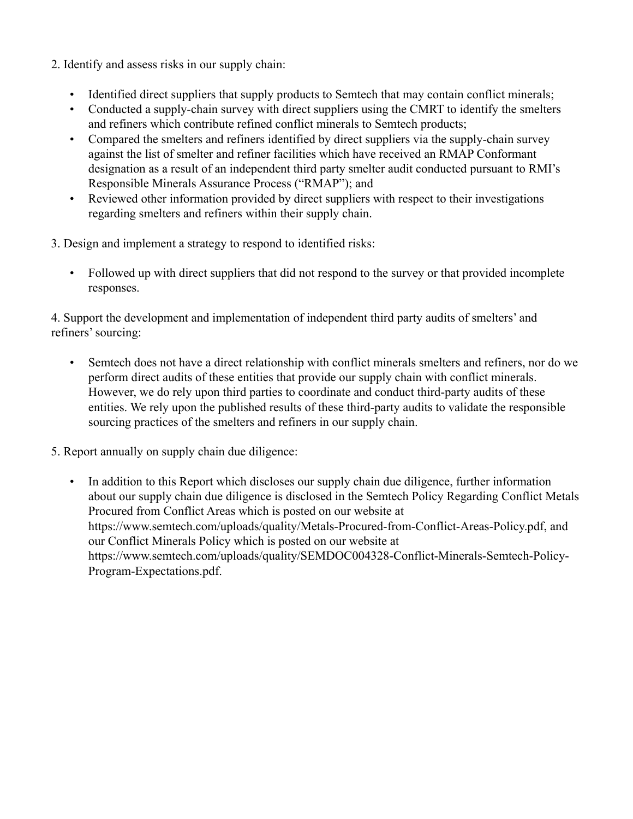- 2. Identify and assess risks in our supply chain:
	- Identified direct suppliers that supply products to Semtech that may contain conflict minerals;
	- Conducted a supply-chain survey with direct suppliers using the CMRT to identify the smelters and refiners which contribute refined conflict minerals to Semtech products;
	- Compared the smelters and refiners identified by direct suppliers via the supply-chain survey against the list of smelter and refiner facilities which have received an RMAP Conformant designation as a result of an independent third party smelter audit conducted pursuant to RMI's Responsible Minerals Assurance Process ("RMAP"); and
	- Reviewed other information provided by direct suppliers with respect to their investigations regarding smelters and refiners within their supply chain.

3. Design and implement a strategy to respond to identified risks:

• Followed up with direct suppliers that did not respond to the survey or that provided incomplete responses.

4. Support the development and implementation of independent third party audits of smelters' and refiners' sourcing:

- Semtech does not have a direct relationship with conflict minerals smelters and refiners, nor do we perform direct audits of these entities that provide our supply chain with conflict minerals. However, we do rely upon third parties to coordinate and conduct third-party audits of these entities. We rely upon the published results of these third-party audits to validate the responsible sourcing practices of the smelters and refiners in our supply chain.
- 5. Report annually on supply chain due diligence:
	- In addition to this Report which discloses our supply chain due diligence, further information about our supply chain due diligence is disclosed in the Semtech Policy Regarding Conflict Metals Procured from Conflict Areas which is posted on our website at https://www.semtech.com/uploads/quality/Metals-Procured-from-Conflict-Areas-Policy.pdf, and our Conflict Minerals Policy which is posted on our website at https://www.semtech.com/uploads/quality/SEMDOC004328-Conflict-Minerals-Semtech-Policy-Program-Expectations.pdf.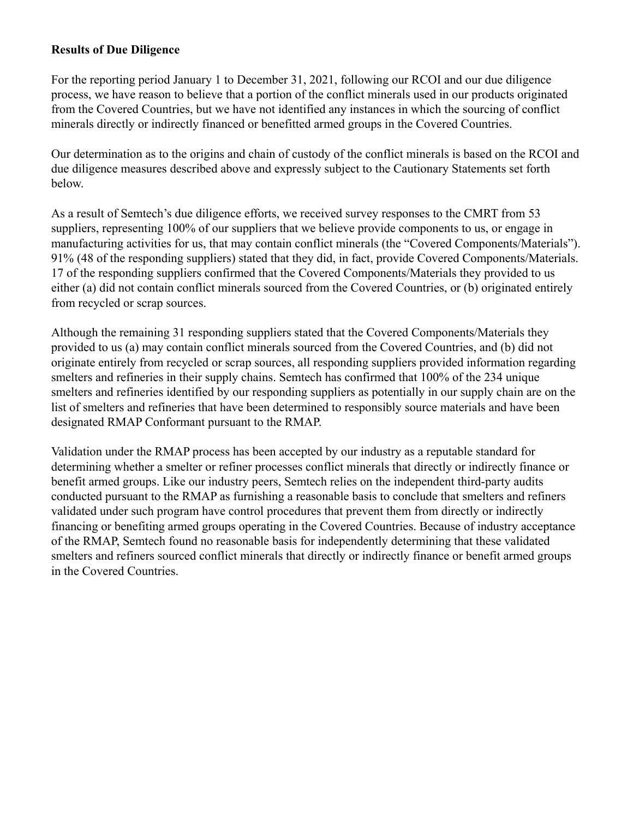### **Results of Due Diligence**

For the reporting period January 1 to December 31, 2021, following our RCOI and our due diligence process, we have reason to believe that a portion of the conflict minerals used in our products originated from the Covered Countries, but we have not identified any instances in which the sourcing of conflict minerals directly or indirectly financed or benefitted armed groups in the Covered Countries.

Our determination as to the origins and chain of custody of the conflict minerals is based on the RCOI and due diligence measures described above and expressly subject to the Cautionary Statements set forth below.

As a result of Semtech's due diligence efforts, we received survey responses to the CMRT from 53 suppliers, representing 100% of our suppliers that we believe provide components to us, or engage in manufacturing activities for us, that may contain conflict minerals (the "Covered Components/Materials"). 91% (48 of the responding suppliers) stated that they did, in fact, provide Covered Components/Materials. 17 of the responding suppliers confirmed that the Covered Components/Materials they provided to us either (a) did not contain conflict minerals sourced from the Covered Countries, or (b) originated entirely from recycled or scrap sources.

Although the remaining 31 responding suppliers stated that the Covered Components/Materials they provided to us (a) may contain conflict minerals sourced from the Covered Countries, and (b) did not originate entirely from recycled or scrap sources, all responding suppliers provided information regarding smelters and refineries in their supply chains. Semtech has confirmed that 100% of the 234 unique smelters and refineries identified by our responding suppliers as potentially in our supply chain are on the list of smelters and refineries that have been determined to responsibly source materials and have been designated RMAP Conformant pursuant to the RMAP.

Validation under the RMAP process has been accepted by our industry as a reputable standard for determining whether a smelter or refiner processes conflict minerals that directly or indirectly finance or benefit armed groups. Like our industry peers, Semtech relies on the independent third-party audits conducted pursuant to the RMAP as furnishing a reasonable basis to conclude that smelters and refiners validated under such program have control procedures that prevent them from directly or indirectly financing or benefiting armed groups operating in the Covered Countries. Because of industry acceptance of the RMAP, Semtech found no reasonable basis for independently determining that these validated smelters and refiners sourced conflict minerals that directly or indirectly finance or benefit armed groups in the Covered Countries.